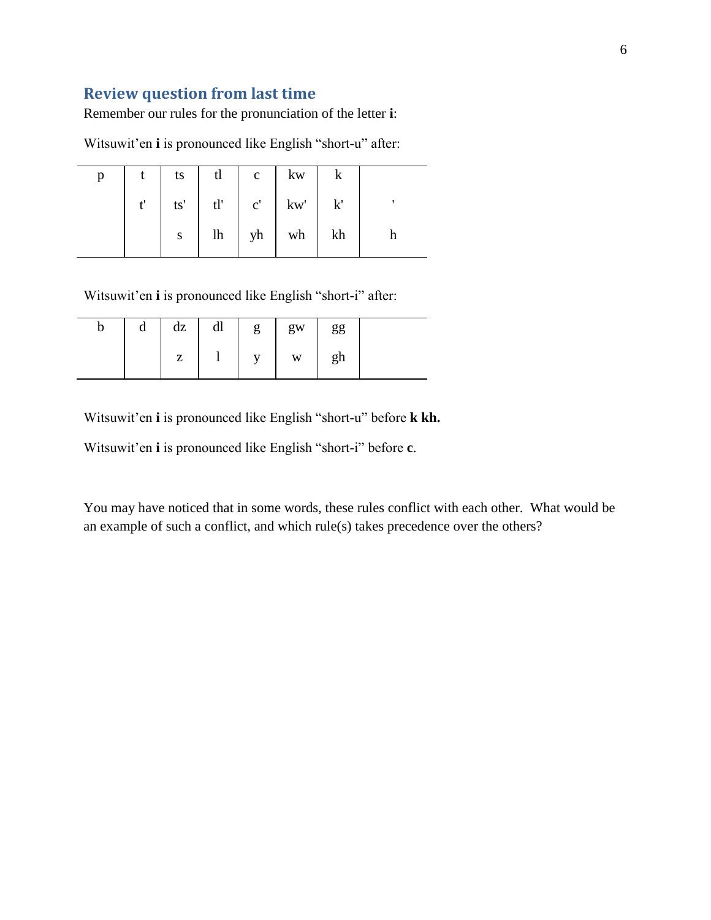## **Review question from last time**

Remember our rules for the pronunciation of the letter **i**:

Witsuwit'en **i** is pronounced like English "short-u" after:

| p |              | ts | tl |                     | k |  |
|---|--------------|----|----|---------------------|---|--|
|   | $t^{\prime}$ |    |    |                     |   |  |
|   |              | S  |    | $lh$   yh   wh   kh |   |  |

Witsuwit'en **i** is pronounced like English "short-i" after:

| b | a | dz | dl | g            | gw | gg |  |
|---|---|----|----|--------------|----|----|--|
|   |   | π. |    | $\mathbf{v}$ | W  | gh |  |

Witsuwit'en **i** is pronounced like English "short-u" before **k kh.**

Witsuwit'en **i** is pronounced like English "short-i" before **c**.

You may have noticed that in some words, these rules conflict with each other. What would be an example of such a conflict, and which rule(s) takes precedence over the others?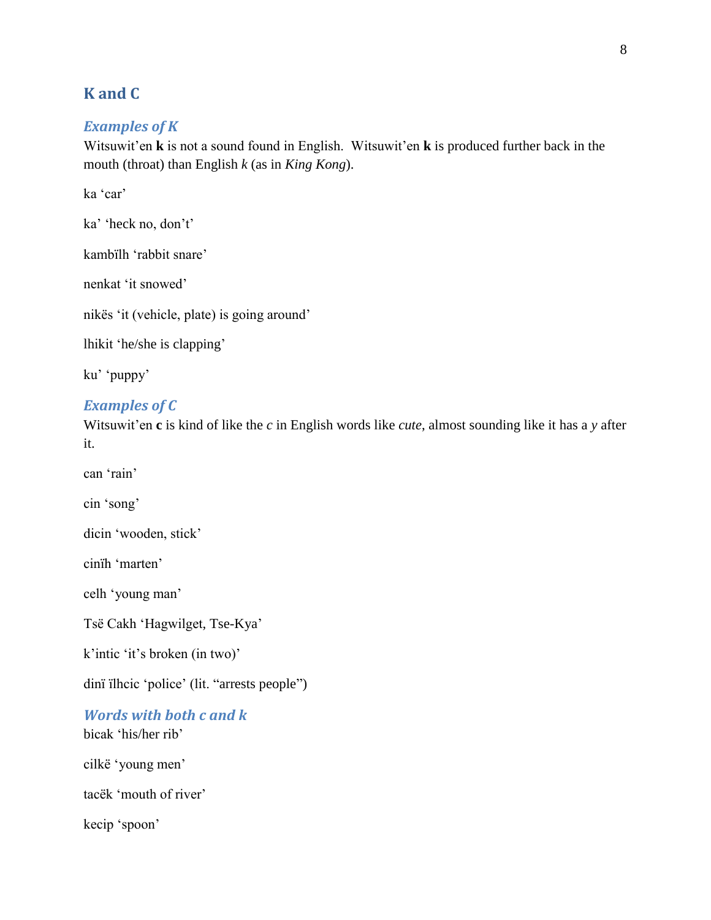### **K and C**

#### *Examples of K*

Witsuwit'en **k** is not a sound found in English. Witsuwit'en **k** is produced further back in the mouth (throat) than English *k* (as in *King Kong*).

ka 'car'

ka' 'heck no, don't'

kambïlh 'rabbit snare'

nenkat 'it snowed'

nikës 'it (vehicle, plate) is going around'

lhikit 'he/she is clapping'

ku' 'puppy'

#### *Examples of C*

Witsuwit'en **c** is kind of like the *c* in English words like *cute*, almost sounding like it has a *y* after it.

can 'rain'

cin 'song'

dicin 'wooden, stick'

cinïh 'marten'

celh 'young man'

Tsë Cakh 'Hagwilget, Tse-Kya'

k'intic 'it's broken (in two)'

dinï ïlhcic 'police' (lit. "arrests people")

*Words with both c and k*

bicak 'his/her rib'

cilkë 'young men'

tacëk 'mouth of river'

kecip 'spoon'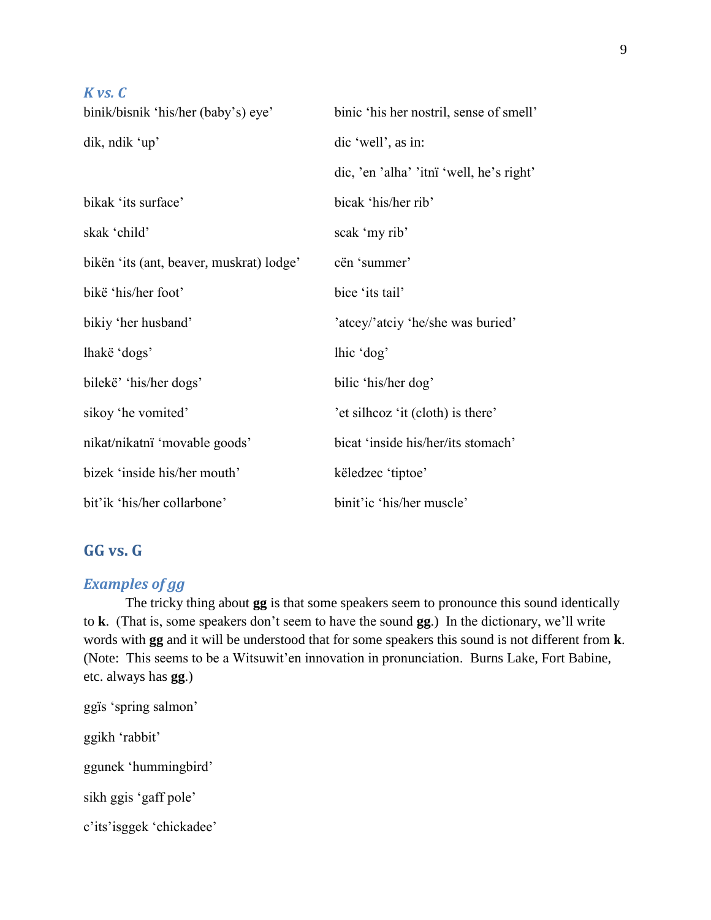| $K$ vs. $C$                              |                                          |
|------------------------------------------|------------------------------------------|
| binik/bisnik 'his/her (baby's) eye'      | binic 'his her nostril, sense of smell'  |
| dik, ndik 'up'                           | dic 'well', as in:                       |
|                                          | dic, 'en 'alha' 'itnï 'well, he's right' |
| bikak 'its surface'                      | bicak 'his/her rib'                      |
| skak 'child'                             | scak 'my rib'                            |
| bikën 'its (ant, beaver, muskrat) lodge' | cën 'summer'                             |
| bikë 'his/her foot'                      | bice 'its tail'                          |
| bikiy 'her husband'                      | 'atcey/'atciy 'he/she was buried'        |
| lhakë 'dogs'                             | lhic 'dog'                               |
| bilekë' 'his/her dogs'                   | bilic 'his/her dog'                      |
| sikoy 'he vomited'                       | 'et silheoz 'it (cloth) is there'        |
| nikat/nikatni 'movable goods'            | bicat 'inside his/her/its stomach'       |
| bizek 'inside his/her mouth'             | këledzec 'tiptoe'                        |
| bit'ik 'his/her collarbone'              | binit'ic 'his/her muscle'                |

### GG vs. G

### **Examples of gg**

The tricky thing about gg is that some speakers seem to pronounce this sound identically to k. (That is, some speakers don't seem to have the sound gg.) In the dictionary, we'll write words with gg and it will be understood that for some speakers this sound is not different from k. (Note: This seems to be a Witsuwit'en innovation in pronunciation. Burns Lake, Fort Babine, etc. always has **gg**.)

ggïs 'spring salmon' ggikh 'rabbit' ggunek 'hummingbird' sikh ggis 'gaff pole' c'its'isggek 'chickadee'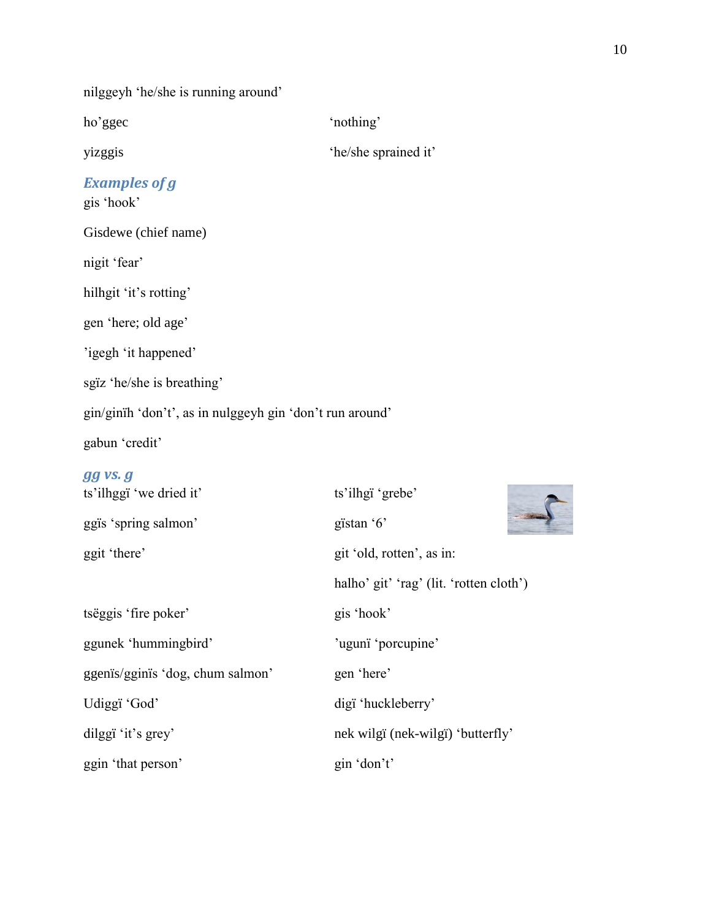nilggeyh 'he/she is running around'

yizggis 'he/she sprained it'

# ho'ggec 'nothing'

*Examples of g*

gis 'hook'

Gisdewe (chief name)

nigit 'fear'

hilhgit 'it's rotting'

gen 'here; old age'

'igegh 'it happened'

sgïz 'he/she is breathing'

gin/ginïh 'don't', as in nulggeyh gin 'don't run around'

gabun 'credit'

#### *gg vs. g*

| ts'ilhggï 'we dried it'          | ts'ilhgï 'grebe'                        |  |  |  |
|----------------------------------|-----------------------------------------|--|--|--|
| ggïs 'spring salmon'             | gïstan '6'                              |  |  |  |
| ggit 'there'                     | git 'old, rotten', as in:               |  |  |  |
|                                  | halho' git' 'rag' (lit. 'rotten cloth') |  |  |  |
| tsëggis 'fire poker'             | gis 'hook'                              |  |  |  |
| ggunek 'hummingbird'             | 'ugunï 'porcupine'                      |  |  |  |
| ggenis/gginis 'dog, chum salmon' | gen 'here'                              |  |  |  |
| Udiggï 'God'                     | digï 'huckleberry'                      |  |  |  |
| dilggi 'it's grey'               | nek wilgi (nek-wilgi) 'butterfly'       |  |  |  |
| ggin 'that person'               | gin 'don't'                             |  |  |  |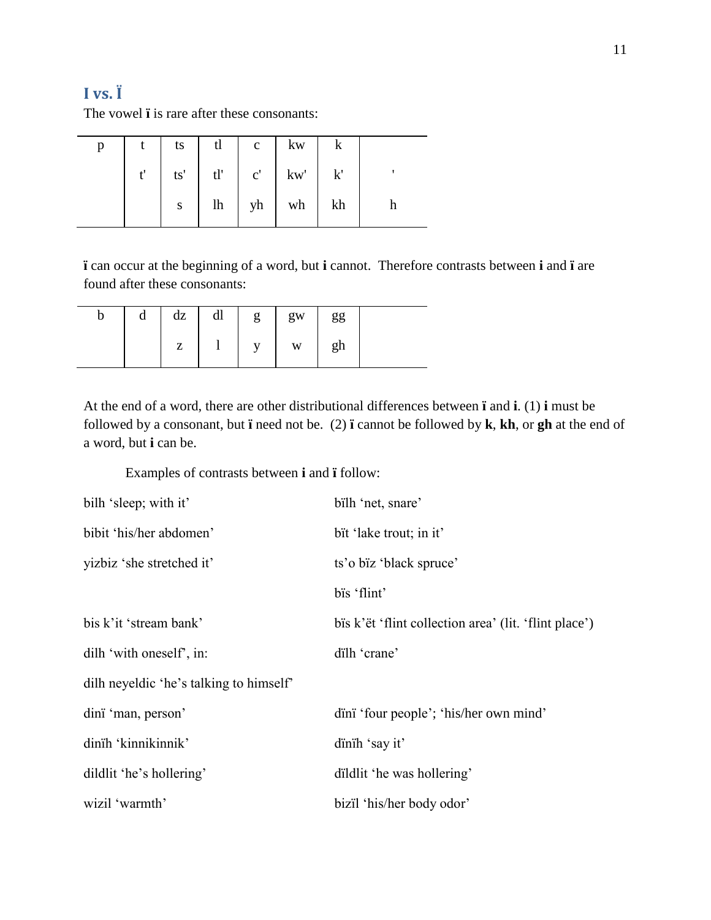# **I vs. Ï**

The vowel **ï** is rare after these consonants:

|  |  | $t$   ts   tl   c   kw   k       |  |
|--|--|----------------------------------|--|
|  |  | $t'$   ts'   tl'   c'   kw'   k' |  |
|  |  | $s$   lh   yh   wh   kh          |  |

**ï** can occur at the beginning of a word, but **i** cannot. Therefore contrasts between **i** and **ï** are found after these consonants:

| d | dz | dl | g            | gw                      | gg |  |
|---|----|----|--------------|-------------------------|----|--|
|   | Z  |    | $\mathbf{V}$ | $\ensuremath{\text{W}}$ | gh |  |

At the end of a word, there are other distributional differences between **ï** and **i**. (1) **i** must be followed by a consonant, but **ï** need not be. (2) **ï** cannot be followed by **k**, **kh**, or **gh** at the end of a word, but **i** can be.

Examples of contrasts between **i** and **ï** follow:

| bilh 'sleep; with it'                   | bilh 'net, snare'                                     |
|-----------------------------------------|-------------------------------------------------------|
| bibit 'his/her abdomen'                 | bit 'lake trout; in it'                               |
| yizbiz 'she stretched it'               | ts'o bïz 'black spruce'                               |
|                                         | bis 'flint'                                           |
| bis k'it 'stream bank'                  | bis k'ët 'flint collection area' (lit. 'flint place') |
| dilh 'with oneself', in:                | dilh 'crane'                                          |
| dilh neyeldic 'he's talking to himself' |                                                       |
| dini 'man, person'                      | d'ini 'four people'; 'his/her own mind'               |
| dinih 'kinnikinnik'                     | dinih 'say it'                                        |
| dildlit 'he's hollering'                | dildlit 'he was hollering'                            |
| wizil 'warmth'                          | bizil 'his/her body odor'                             |